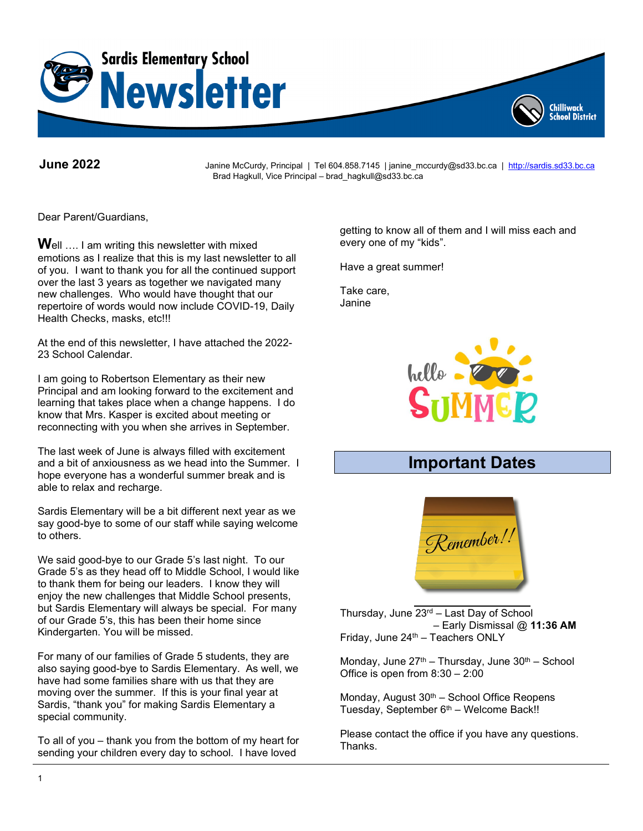

**June 2022** Janine McCurdy, Principal | Tel 604.858.7145 | janine\_mccurdy@sd33.bc.ca | [http://sardis.sd33.bc.ca](http://sardis.sd33.bc.ca/) Brad Hagkull, Vice Principal – brad\_hagkull@sd33.bc.ca

Dear Parent/Guardians,

**W**ell …. I am writing this newsletter with mixed emotions as I realize that this is my last newsletter to all of you. I want to thank you for all the continued support over the last 3 years as together we navigated many new challenges. Who would have thought that our repertoire of words would now include COVID-19, Daily Health Checks, masks, etc!!!

At the end of this newsletter, I have attached the 2022- 23 School Calendar.

I am going to Robertson Elementary as their new Principal and am looking forward to the excitement and learning that takes place when a change happens. I do know that Mrs. Kasper is excited about meeting or reconnecting with you when she arrives in September.

The last week of June is always filled with excitement and a bit of anxiousness as we head into the Summer. I hope everyone has a wonderful summer break and is able to relax and recharge.

Sardis Elementary will be a bit different next year as we say good-bye to some of our staff while saying welcome to others.

We said good-bye to our Grade 5's last night. To our Grade 5's as they head off to Middle School, I would like to thank them for being our leaders. I know they will enjoy the new challenges that Middle School presents, but Sardis Elementary will always be special. For many of our Grade 5's, this has been their home since Kindergarten. You will be missed.

For many of our families of Grade 5 students, they are also saying good-bye to Sardis Elementary. As well, we have had some families share with us that they are moving over the summer. If this is your final year at Sardis, "thank you" for making Sardis Elementary a special community.

To all of you – thank you from the bottom of my heart for sending your children every day to school. I have loved

getting to know all of them and I will miss each and every one of my "kids".

Chilliwack **School District** 

Have a great summer!

Take care, Janine



# **Important Dates**



Thursday, June  $23<sup>rd</sup>$  – Last Day of School – Early Dismissal @ **11:36 AM** Friday, June 24<sup>th</sup> - Teachers ONLY

Monday, June  $27<sup>th</sup>$  – Thursday, June  $30<sup>th</sup>$  – School Office is open from 8:30 – 2:00

Monday, August  $30<sup>th</sup>$  – School Office Reopens Tuesday, September 6<sup>th</sup> – Welcome Back!!

Please contact the office if you have any questions. Thanks.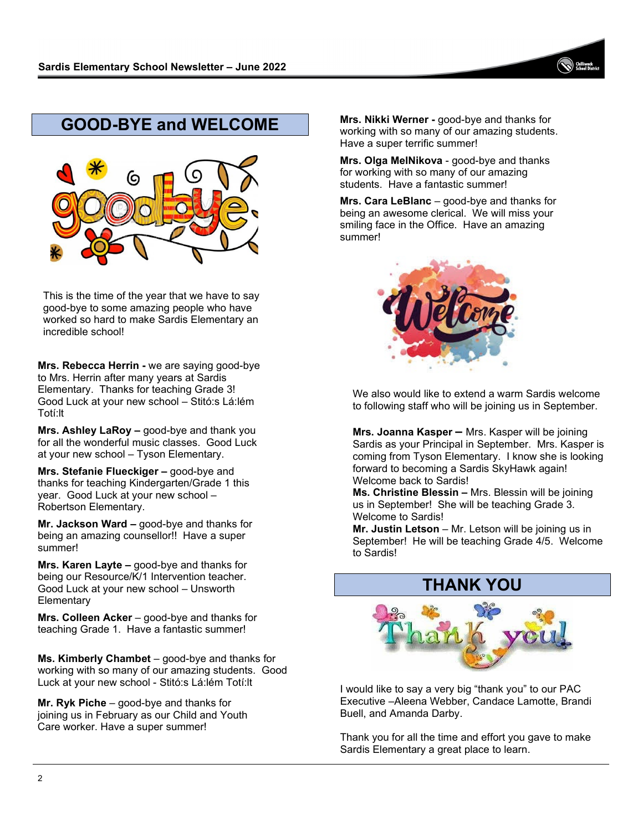# **GOOD-BYE and WELCOME**



This is the time of the year that we have to say good-bye to some amazing people who have worked so hard to make Sardis Elementary an incredible school!

**Mrs. Rebecca Herrin -** we are saying good-bye to Mrs. Herrin after many years at Sardis Elementary. Thanks for teaching Grade 3! Good Luck at your new school – Stitó:s Lá:lém Totí:lt

**Mrs. Ashley LaRoy –** good-bye and thank you for all the wonderful music classes. Good Luck at your new school – Tyson Elementary.

**Mrs. Stefanie Flueckiger –** good-bye and thanks for teaching Kindergarten/Grade 1 this year. Good Luck at your new school – Robertson Elementary.

**Mr. Jackson Ward –** good-bye and thanks for being an amazing counsellor!! Have a super summer!

**Mrs. Karen Layte –** good-bye and thanks for being our Resource/K/1 Intervention teacher. Good Luck at your new school – Unsworth **Elementary** 

**Mrs. Colleen Acker** – good-bye and thanks for teaching Grade 1. Have a fantastic summer!

**Ms. Kimberly Chambet** – good-bye and thanks for working with so many of our amazing students. Good Luck at your new school - Stitó:s Lá:lém Totí:lt

**Mr. Ryk Piche** – good-bye and thanks for joining us in February as our Child and Youth Care worker. Have a super summer!

**Mrs. Nikki Werner -** good-bye and thanks for working with so many of our amazing students. Have a super terrific summer!

**Mrs. Olga MelNikova** - good-bye and thanks for working with so many of our amazing students. Have a fantastic summer!

**Mrs. Cara LeBlanc** – good-bye and thanks for being an awesome clerical. We will miss your smiling face in the Office. Have an amazing summer!



We also would like to extend a warm Sardis welcome to following staff who will be joining us in September.

**Mrs. Joanna Kasper –** Mrs. Kasper will be joining Sardis as your Principal in September. Mrs. Kasper is coming from Tyson Elementary. I know she is looking forward to becoming a Sardis SkyHawk again! Welcome back to Sardis!

**Ms. Christine Blessin –** Mrs. Blessin will be joining us in September! She will be teaching Grade 3. Welcome to Sardis!

**Mr. Justin Letson** – Mr. Letson will be joining us in September! He will be teaching Grade 4/5. Welcome to Sardis!

# **THANK YOU**



I would like to say a very big "thank you" to our PAC Executive –Aleena Webber, Candace Lamotte, Brandi Buell, and Amanda Darby.

Thank you for all the time and effort you gave to make Sardis Elementary a great place to learn.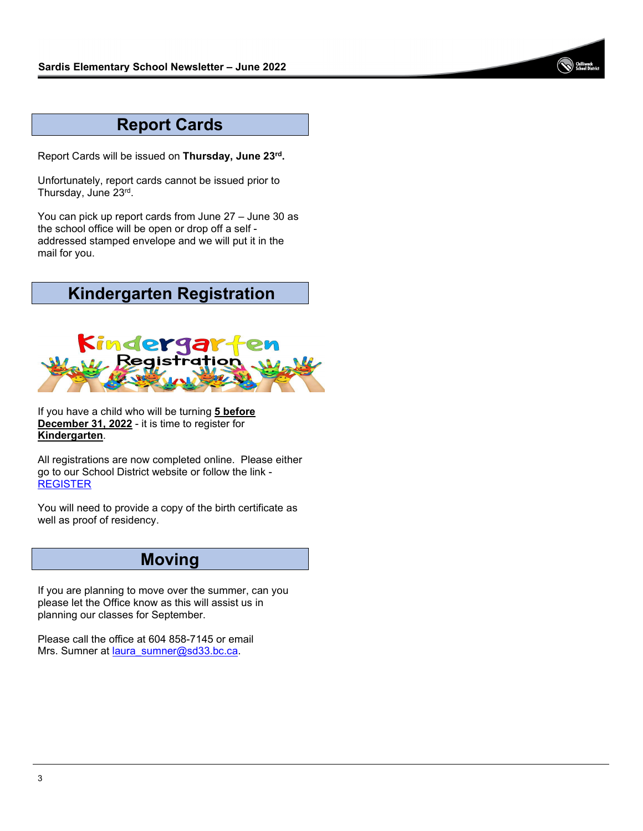

## **Report Cards**

Report Cards will be issued on **Thursday, June 23rd.**

Unfortunately, report cards cannot be issued prior to Thursday, June 23rd.

You can pick up report cards from June 27 – June 30 as the school office will be open or drop off a self addressed stamped envelope and we will put it in the mail for you.

# **Kindergarten Registration**



If you have a child who will be turning **5 before December 31, 2022** - it is time to register for **Kindergarten**.

All registrations are now completed online. Please either go to our School District website or follow the link - [REGISTER](https://sd33.vivosforms.com/Home)

You will need to provide a copy of the birth certificate as well as proof of residency.

#### **Moving**

If you are planning to move over the summer, can you please let the Office know as this will assist us in planning our classes for September.

Please call the office at 604 858-7145 or email Mrs. Sumner at [laura\\_sumner@sd33.bc.ca.](mailto:laura_sumner@sd33.bc.ca)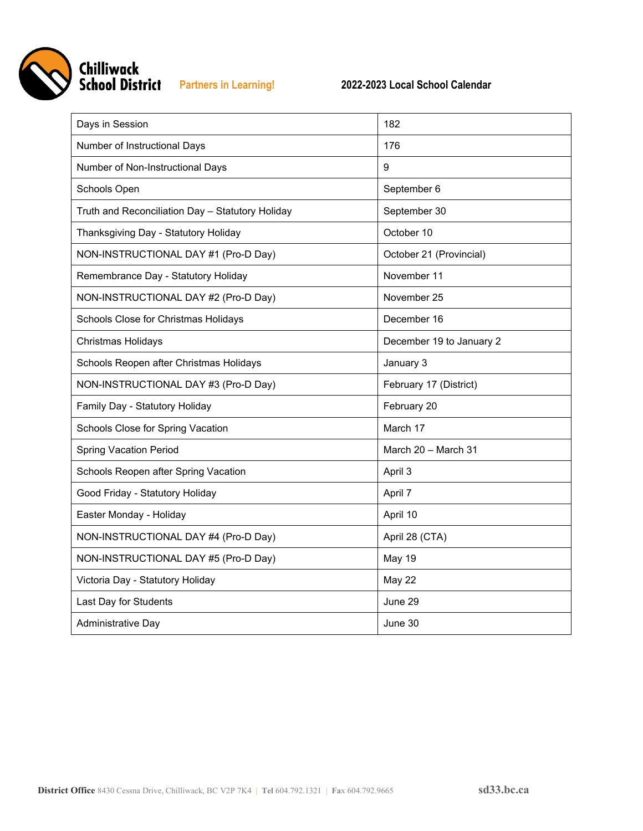

| Days in Session                                  | 182                      |
|--------------------------------------------------|--------------------------|
| Number of Instructional Days                     | 176                      |
| Number of Non-Instructional Days                 | 9                        |
| Schools Open                                     | September 6              |
| Truth and Reconciliation Day - Statutory Holiday | September 30             |
| Thanksgiving Day - Statutory Holiday             | October 10               |
| NON-INSTRUCTIONAL DAY #1 (Pro-D Day)             | October 21 (Provincial)  |
| Remembrance Day - Statutory Holiday              | November 11              |
| NON-INSTRUCTIONAL DAY #2 (Pro-D Day)             | November 25              |
| Schools Close for Christmas Holidays             | December 16              |
| Christmas Holidays                               | December 19 to January 2 |
| Schools Reopen after Christmas Holidays          | January 3                |
| NON-INSTRUCTIONAL DAY #3 (Pro-D Day)             | February 17 (District)   |
| Family Day - Statutory Holiday                   | February 20              |
| Schools Close for Spring Vacation                | March 17                 |
| <b>Spring Vacation Period</b>                    | March 20 - March 31      |
| Schools Reopen after Spring Vacation             | April 3                  |
| Good Friday - Statutory Holiday                  | April 7                  |
| Easter Monday - Holiday                          | April 10                 |
| NON-INSTRUCTIONAL DAY #4 (Pro-D Day)             | April 28 (CTA)           |
| NON-INSTRUCTIONAL DAY #5 (Pro-D Day)             | <b>May 19</b>            |
| Victoria Day - Statutory Holiday                 | <b>May 22</b>            |
| Last Day for Students                            | June 29                  |
| Administrative Day                               | June 30                  |